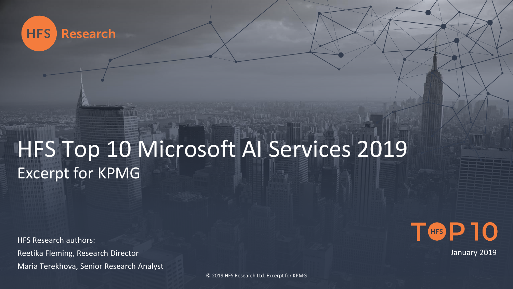

# HFS Top 10 Microsoft AI Services 2019 Excerpt for KPMG

HFS Research authors: Reetika Fleming, Research Director Maria Terekhova, Senior Research Analyst



January 2019

© 2019 HFS Research Ltd. Excerpt for KPMG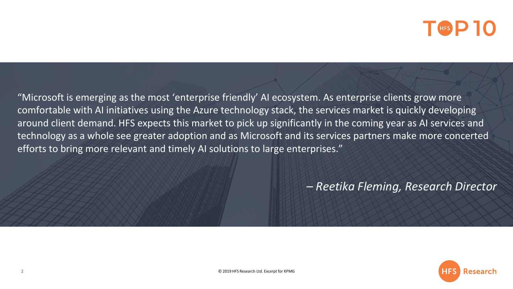## T<sup>H<sub>ES</sub> P 10</sup>

"Microsoft is emerging as the most 'enterprise friendly' AI ecosystem. As enterprise clients grow more comfortable with AI initiatives using the Azure technology stack, the services market is quickly developing around client demand. HFS expects this market to pick up significantly in the coming year as AI services and technology as a whole see greater adoption and as Microsoft and its services partners make more concerted efforts to bring more relevant and timely AI solutions to large enterprises."

*– Reetika Fleming, Research Director*

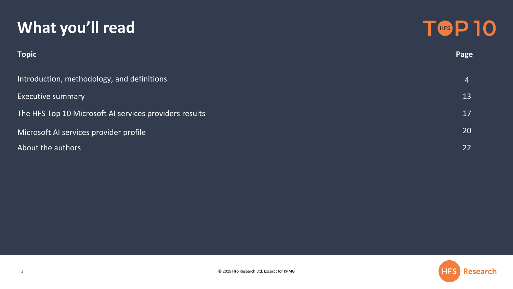### **What you'll read**



| <b>Topic</b>                                           | <b>Page</b>    |
|--------------------------------------------------------|----------------|
| Introduction, methodology, and definitions             | $\overline{4}$ |
| <b>Executive summary</b>                               | 13             |
| The HFS Top 10 Microsoft AI services providers results | 17             |
| Microsoft AI services provider profile                 | 20             |
| About the authors                                      | 22             |

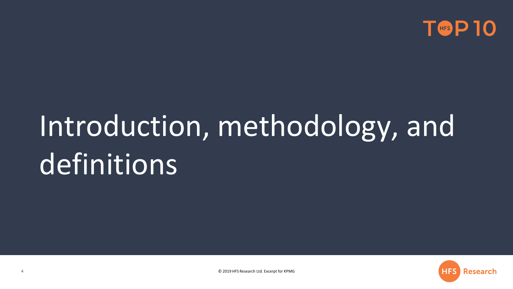

# Introduction, methodology, and definitions

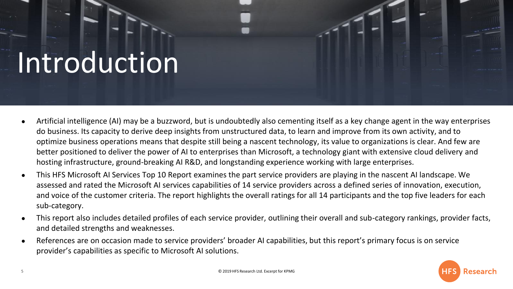# Introduction

- Artificial intelligence (AI) may be a buzzword, but is undoubtedly also cementing itself as a key change agent in the way enterprises do business. Its capacity to derive deep insights from unstructured data, to learn and improve from its own activity, and to optimize business operations means that despite still being a nascent technology, its value to organizations is clear. And few are better positioned to deliver the power of AI to enterprises than Microsoft, a technology giant with extensive cloud delivery and hosting infrastructure, ground-breaking AI R&D, and longstanding experience working with large enterprises.
- This HFS Microsoft AI Services Top 10 Report examines the part service providers are playing in the nascent AI landscape. We assessed and rated the Microsoft AI services capabilities of 14 service providers across a defined series of innovation, execution, and voice of the customer criteria. The report highlights the overall ratings for all 14 participants and the top five leaders for each sub-category.
- This report also includes detailed profiles of each service provider, outlining their overall and sub-category rankings, provider facts, and detailed strengths and weaknesses.
- References are on occasion made to service providers' broader AI capabilities, but this report's primary focus is on service provider's capabilities as specific to Microsoft AI solutions.

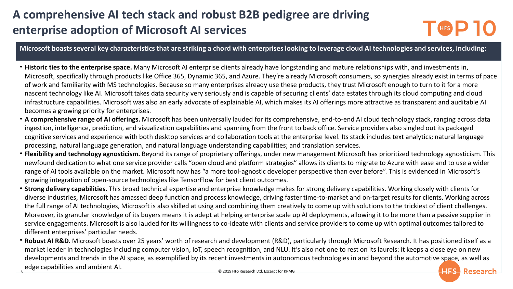### **A comprehensive AI tech stack and robust B2B pedigree are driving enterprise adoption of Microsoft AI services**



**Microsoft boasts several key characteristics that are striking a chord with enterprises looking to leverage cloud AI technologies and services, including:**

- **Historic ties to the enterprise space.** Many Microsoft AI enterprise clients already have longstanding and mature relationships with, and investments in, Microsoft, specifically through products like Office 365, Dynamic 365, and Azure. They're already Microsoft consumers, so synergies already exist in terms of pace of work and familiarity with MS technologies. Because so many enterprises already use these products, they trust Microsoft enough to turn to it for a more nascent technology like AI. Microsoft takes data security very seriously and is capable of securing clients' data estates through its cloud computing and cloud infrastructure capabilities. Microsoft was also an early advocate of explainable AI, which makes its AI offerings more attractive as transparent and auditable AI becomes a growing priority for enterprises.
- **A comprehensive range of AI offerings.** Microsoft has been universally lauded for its comprehensive, end-to-end AI cloud technology stack, ranging across data ingestion, intelligence, prediction, and visualization capabilities and spanning from the front to back office. Service providers also singled out its packaged cognitive services and experience with both desktop services and collaboration tools at the enterprise level. Its stack includes text analytics; natural language processing, natural language generation, and natural language understanding capabilities; and translation services.
- **Flexibility and technology agnosticism.** Beyond its range of proprietary offerings, under new management Microsoft has prioritized technology agnosticism. This newfound dedication to what one service provider calls "open cloud and platform strategies" allows its clients to migrate to Azure with ease and to use a wider range of AI tools available on the market. Microsoft now has "a more tool-agnostic developer perspective than ever before". This is evidenced in Microsoft's growing integration of open-source technologies like TensorFlow for best client outcomes.
- **Strong delivery capabilities.** This broad technical expertise and enterprise knowledge makes for strong delivery capabilities. Working closely with clients for diverse industries, Microsoft has amassed deep function and process knowledge, driving faster time-to-market and on-target results for clients. Working across the full range of AI technologies, Microsoft is also skilled at using and combining them creatively to come up with solutions to the trickiest of client challenges. Moreover, its granular knowledge of its buyers means it is adept at helping enterprise scale up AI deployments, allowing it to be more than a passive supplier in service engagements. Microsoft is also lauded for its willingness to co-ideate with clients and service providers to come up with optimal outcomes tailored to different enterprises' particular needs.
- **Robust AI R&D.** Microsoft boasts over 25 years' worth of research and development (R&D), particularly through Microsoft Research. It has positioned itself as a market leader in technologies including computer vision, IoT, speech recognition, and NLU. It's also not one to rest on its laurels: it keeps a close eye on new developments and trends in the AI space, as exemplified by its recent investments in autonomous technologies in and beyond the automotive space, as well as Edge capabilities and ambient AI. **HES Research**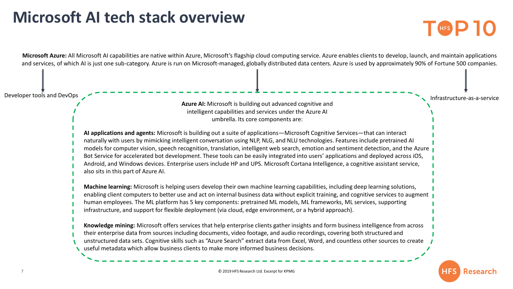### **Microsoft AI tech stack overview**



**EXAMPLE** 

7 © 2019 HFS Research Ltd. Excerpt for KPMG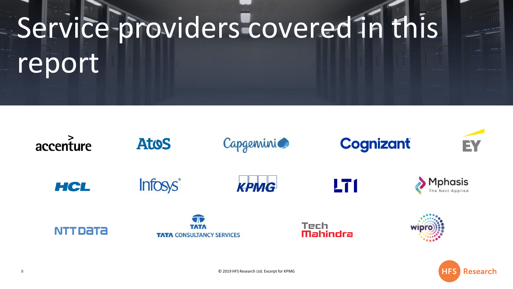# Service providers covered in this report



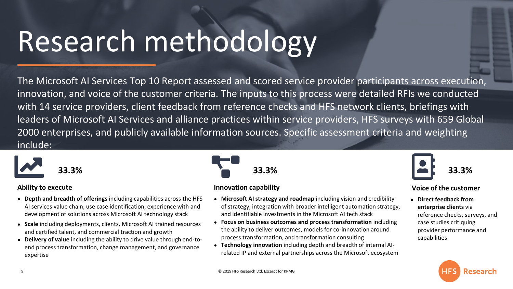# Research methodology

The Microsoft AI Services Top 10 Report assessed and scored service provider participants across execution, innovation, and voice of the customer criteria. The inputs to this process were detailed RFIs we conducted with 14 service providers, client feedback from reference checks and HFS network clients, briefings with leaders of Microsoft AI Services and alliance practices within service providers, HFS surveys with 659 Global 2000 enterprises, and publicly available information sources. Specific assessment criteria and weighting include:



#### **Ability to execute**

- **Depth and breadth of offerings** including capabilities across the HFS AI services value chain, use case identification, experience with and development of solutions across Microsoft AI technology stack
- **Scale** including deployments, clients, Microsoft AI trained resources and certified talent, and commercial traction and growth
- **Delivery of value** including the ability to drive value through end-toend process transformation, change management, and governance expertise



#### **Innovation capability**

- **Microsoft AI strategy and roadmap** including vision and credibility of strategy, integration with broader intelligent automation strategy, and identifiable investments in the Microsoft AI tech stack
- **Focus on business outcomes and process transformation** including the ability to deliver outcomes, models for co-innovation around process transformation, and transformation consulting
- **Technology innovation** including depth and breadth of internal AIrelated IP and external partnerships across the Microsoft ecosystem



#### **Voice of the customer**

● **Direct feedback from enterprise clients** via reference checks, surveys, and case studies critiquing provider performance and capabilities

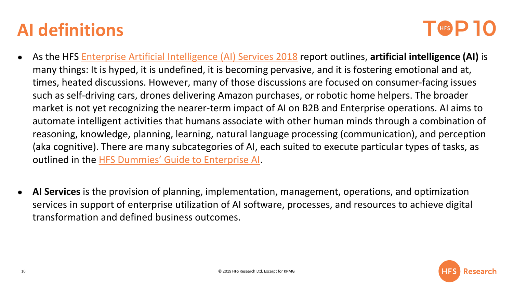## **AI definitions**

## THES D

- As the HFS [Enterprise Artificial Intelligence \(AI\) Services 2018](https://www.hfsresearch.com/blueprint-reports/hfs-blueprint-report-enterprise-artificial-intelligence-ai-services-2018) report outlines, **artificial intelligence (AI)** is many things: It is hyped, it is undefined, it is becoming pervasive, and it is fostering emotional and at, times, heated discussions. However, many of those discussions are focused on consumer-facing issues such as self-driving cars, drones delivering Amazon purchases, or robotic home helpers. The broader market is not yet recognizing the nearer-term impact of AI on B2B and Enterprise operations. AI aims to automate intelligent activities that humans associate with other human minds through a combination of reasoning, knowledge, planning, learning, natural language processing (communication), and perception (aka cognitive). There are many subcategories of AI, each suited to execute particular types of tasks, as outlined in the [HFS Dummies' Guide to Enterprise AI](https://www.hfsresearch.com/pointsofview/untangling-the-gordian-knot-the-hfs-dummies-guide-to-enterprise-ai).
- **AI Services** is the provision of planning, implementation, management, operations, and optimization services in support of enterprise utilization of AI software, processes, and resources to achieve digital transformation and defined business outcomes.

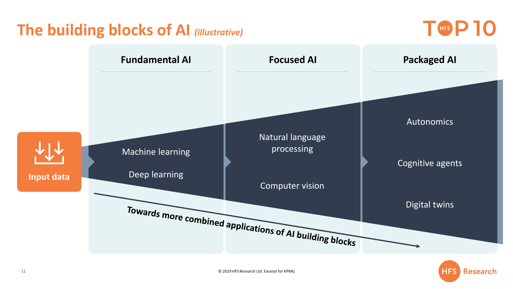### **The building blocks of AI** *(illustrative)*

T<sub>GFS</sub>P<sub>10</sub>



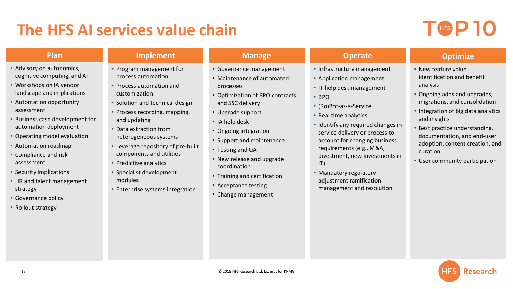### **The HFS AI services value chain**

## $T$  (HFS  $P$  10

#### **Plan**

- Advisory on autonomics, cognitive computing, and AI
- Workshops on IA vendor landscape and implications
- Automation opportunity assessment
- Business case development for automation deployment
- Operating model evaluation
- Automation roadmap
- Compliance and risk assessment
- Security implications
- HR and talent management strategy
- Governance policy
- Rollout strategy

• Program management for process automation

**Implement**

- Process automation and customization
- Solution and technical design
- Process recording, mapping, and updating
- Data extraction from heterogeneous systems
- Leverage repository of pre-built components and utilities
- Predictive analytics
- Specialist development modules
- Enterprise systems integration

#### **Manage**

- Governance management
- Maintenance of automated processes
- Optimization of BPO contracts and SSC delivery
- Upgrade support
- IA help desk
- Ongoing integration
- Support and maintenance
- Testing and QA
- New release and upgrade coordination
- Training and certification
- Acceptance testing
- Change management

#### **Operate**

- Infrastructure management
- Application management
- IT help desk management
- BPO
- (Ro)Bot-as-a-Service
- Real time analytics
- Identify any required changes in service delivery or process to account for changing business requirements (e.g., M&A, divestment, new investments in IT)
- Mandatory regulatory adjustment ramification management and resolution

#### **Optimize**

- New feature value identification and benefit analysis
- Ongoing adds and upgrades, migrations, and consolidation
- Integration of big data analytics and insights
- Best practice understanding, documentation, and end-user adoption, content creation, and curation
- User community participation

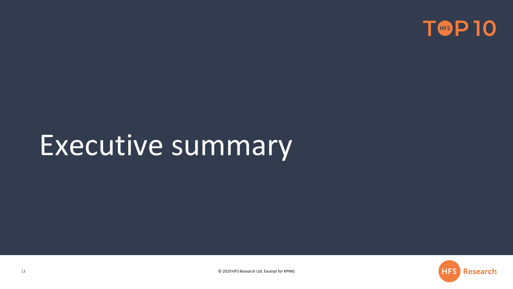

# Executive summary

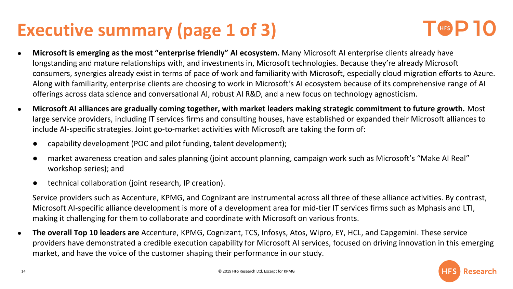## **Executive summary (page 1 of 3)**



- **Microsoft is emerging as the most "enterprise friendly" AI ecosystem.** Many Microsoft AI enterprise clients already have longstanding and mature relationships with, and investments in, Microsoft technologies. Because they're already Microsoft consumers, synergies already exist in terms of pace of work and familiarity with Microsoft, especially cloud migration efforts to Azure. Along with familiarity, enterprise clients are choosing to work in Microsoft's AI ecosystem because of its comprehensive range of AI offerings across data science and conversational AI, robust AI R&D, and a new focus on technology agnosticism.
- **Microsoft AI alliances are gradually coming together, with market leaders making strategic commitment to future growth.** Most large service providers, including IT services firms and consulting houses, have established or expanded their Microsoft alliances to include AI-specific strategies. Joint go-to-market activities with Microsoft are taking the form of:
	- capability development (POC and pilot funding, talent development);
	- market awareness creation and sales planning (joint account planning, campaign work such as Microsoft's "Make AI Real" workshop series); and
	- technical collaboration (joint research, IP creation).

Service providers such as Accenture, KPMG, and Cognizant are instrumental across all three of these alliance activities. By contrast, Microsoft AI-specific alliance development is more of a development area for mid-tier IT services firms such as Mphasis and LTI, making it challenging for them to collaborate and coordinate with Microsoft on various fronts.

● **The overall Top 10 leaders are** Accenture, KPMG, Cognizant, TCS, Infosys, Atos, Wipro, EY, HCL, and Capgemini. These service providers have demonstrated a credible execution capability for Microsoft AI services, focused on driving innovation in this emerging market, and have the voice of the customer shaping their performance in our study.

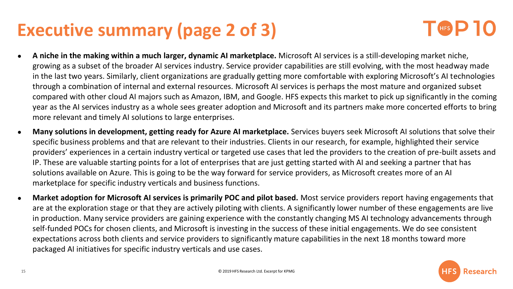## **Executive summary (page 2 of 3)**



- **A niche in the making within a much larger, dynamic AI marketplace.** Microsoft AI services is a still-developing market niche, growing as a subset of the broader AI services industry. Service provider capabilities are still evolving, with the most headway made in the last two years. Similarly, client organizations are gradually getting more comfortable with exploring Microsoft's AI technologies through a combination of internal and external resources. Microsoft AI services is perhaps the most mature and organized subset compared with other cloud AI majors such as Amazon, IBM, and Google. HFS expects this market to pick up significantly in the coming year as the AI services industry as a whole sees greater adoption and Microsoft and its partners make more concerted efforts to bring more relevant and timely AI solutions to large enterprises.
- **Many solutions in development, getting ready for Azure AI marketplace.** Services buyers seek Microsoft AI solutions that solve their specific business problems and that are relevant to their industries. Clients in our research, for example, highlighted their service providers' experiences in a certain industry vertical or targeted use cases that led the providers to the creation of pre-built assets and IP. These are valuable starting points for a lot of enterprises that are just getting started with AI and seeking a partner that has solutions available on Azure. This is going to be the way forward for service providers, as Microsoft creates more of an AI marketplace for specific industry verticals and business functions.
- **Market adoption for Microsoft AI services is primarily POC and pilot based.** Most service providers report having engagements that are at the exploration stage or that they are actively piloting with clients. A significantly lower number of these engagements are live in production. Many service providers are gaining experience with the constantly changing MS AI technology advancements through self-funded POCs for chosen clients, and Microsoft is investing in the success of these initial engagements. We do see consistent expectations across both clients and service providers to significantly mature capabilities in the next 18 months toward more packaged AI initiatives for specific industry verticals and use cases.

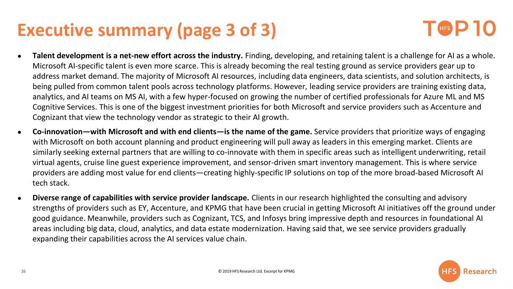## **Executive summary (page 3 of 3)**



- **Talent development is a net-new effort across the industry.** Finding, developing, and retaining talent is a challenge for AI as a whole. Microsoft AI-specific talent is even more scarce. This is already becoming the real testing ground as service providers gear up to address market demand. The majority of Microsoft AI resources, including data engineers, data scientists, and solution architects, is being pulled from common talent pools across technology platforms. However, leading service providers are training existing data, analytics, and AI teams on MS AI, with a few hyper-focused on growing the number of certified professionals for Azure ML and MS Cognitive Services. This is one of the biggest investment priorities for both Microsoft and service providers such as Accenture and Cognizant that view the technology vendor as strategic to their AI growth.
- **Co-innovation—with Microsoft and with end clients—is the name of the game.** Service providers that prioritize ways of engaging with Microsoft on both account planning and product engineering will pull away as leaders in this emerging market. Clients are similarly seeking external partners that are willing to co-innovate with them in specific areas such as intelligent underwriting, retail virtual agents, cruise line guest experience improvement, and sensor-driven smart inventory management. This is where service providers are adding most value for end clients—creating highly-specific IP solutions on top of the more broad-based Microsoft AI tech stack.
- **Diverse range of capabilities with service provider landscape.** Clients in our research highlighted the consulting and advisory strengths of providers such as EY, Accenture, and KPMG that have been crucial in getting Microsoft AI initiatives off the ground under good guidance. Meanwhile, providers such as Cognizant, TCS, and Infosys bring impressive depth and resources in foundational AI areas including big data, cloud, analytics, and data estate modernization. Having said that, we see service providers gradually expanding their capabilities across the AI services value chain.

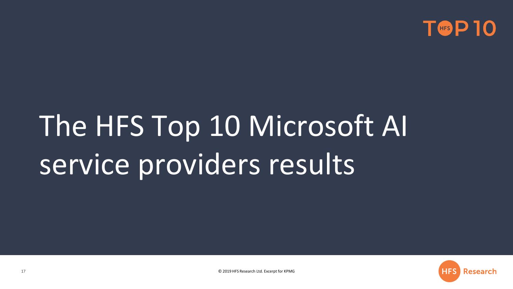

# The HFS Top 10 Microsoft AI service providers results

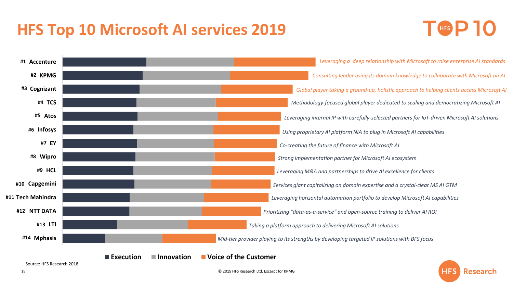### **HFS Top 10 Microsoft AI services 2019**



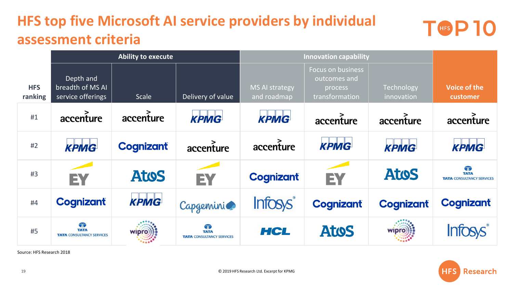### **HFS top five Microsoft AI service providers by individual assessment criteria**



|                       | <b>Ability to execute</b>                            |                  | <b>Innovation capability</b>                         |                               |                                                                       |                          |                                                      |
|-----------------------|------------------------------------------------------|------------------|------------------------------------------------------|-------------------------------|-----------------------------------------------------------------------|--------------------------|------------------------------------------------------|
| <b>HFS</b><br>ranking | Depth and<br>breadth of MS AI<br>service offerings   | <b>Scale</b>     | Delivery of value                                    | MS AI strategy<br>and roadmap | <b>Focus on business</b><br>outcomes and<br>process<br>transformation | Technology<br>innovation | Voice of the<br>customer                             |
| #1                    | accenture                                            | accenture        | <b>КРМG</b>                                          | <b>KPMG</b>                   | accenture                                                             | accenture                | accenture                                            |
| #2                    | КРМС                                                 | <b>Cognizant</b> | accenture                                            | accenture                     | <b>KPMG</b>                                                           | <b>КРМG</b>              | КРМС                                                 |
| #3                    | EY                                                   | <b>AtoS</b>      | EY                                                   | <b>Cognizant</b>              | EY                                                                    | <b>Atos</b>              | T<br><b>TATA</b><br><b>TATA CONSULTANCY SERVICES</b> |
| #4                    | <b>Cognizant</b>                                     | KPMG             | Capgemini                                            | <b>Infosys</b>                | <b>Cognizant</b>                                                      | <b>Cognizant</b>         | <b>Cognizant</b>                                     |
| #5                    | T<br><b>TATA</b><br><b>TATA CONSULTANCY SERVICES</b> | wipro            | T<br><b>TATA</b><br><b>TATA CONSULTANCY SERVICES</b> | HCL                           | <b>Atos</b>                                                           | <b>Wipro</b>             |                                                      |

Source: HFS Research 2018

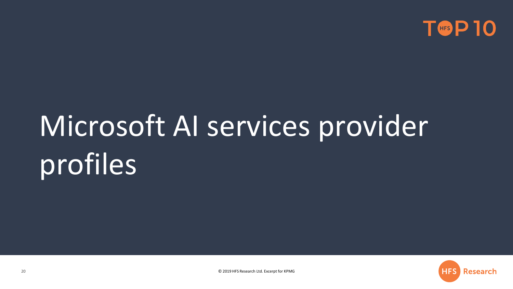

# Microsoft AI services provider profiles

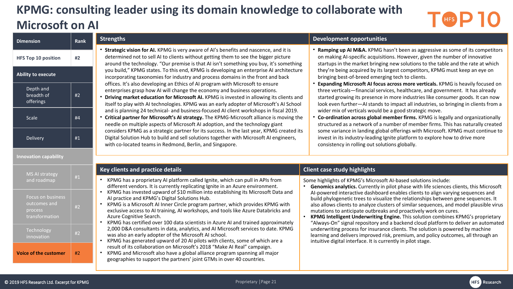### **KPMG: consulting leader using its domain knowledge to collaborate with Microsoft on AI**

# **TGP10**

| <b>Dimension</b>                                               | <b>Rank</b> | <b>Strengths</b>                                                                                                                                                                                                                                                                                                                                                                                                          | <b>Development opportunities</b>                                                                                                                                                                                                                                                                                                                                                                                                                                                                                                                                                                                                                                                                                                                                                                |  |  |  |
|----------------------------------------------------------------|-------------|---------------------------------------------------------------------------------------------------------------------------------------------------------------------------------------------------------------------------------------------------------------------------------------------------------------------------------------------------------------------------------------------------------------------------|-------------------------------------------------------------------------------------------------------------------------------------------------------------------------------------------------------------------------------------------------------------------------------------------------------------------------------------------------------------------------------------------------------------------------------------------------------------------------------------------------------------------------------------------------------------------------------------------------------------------------------------------------------------------------------------------------------------------------------------------------------------------------------------------------|--|--|--|
| <b>HFS Top 10 position</b>                                     | #2          | • Strategic vision for AI. KPMG is very aware of AI's benefits and nascence, and it is<br>determined not to sell AI to clients without getting them to see the bigger picture<br>around the technology. "Our premise is that AI isn't something you buy, it's something                                                                                                                                                   | • Ramping up AI M&A. KPMG hasn't been as aggressive as some of its competitors<br>on making AI-specific acquisitions. However, given the number of innovative<br>startups in the market bringing new solutions to the table and the rate at which                                                                                                                                                                                                                                                                                                                                                                                                                                                                                                                                               |  |  |  |
| <b>Ability to execute</b>                                      |             | you build," KPMG states. To this end, KPMG is developing an enterprise AI architecture<br>incorporating taxonomies for industry and process domains in the front and back                                                                                                                                                                                                                                                 | they're being acquired by its largest competitors, KPMG must keep an eye on<br>bringing best-of-breed emerging tech to clients.                                                                                                                                                                                                                                                                                                                                                                                                                                                                                                                                                                                                                                                                 |  |  |  |
| Depth and<br>breadth of<br>offerings                           | #2          | offices. It's also developing an Ethics of AI program with Microsoft to ensure<br>enterprises grasp how AI will change the economy and business operations.<br>Driving market education for Microsoft AI. KPMG is invested in allowing its clients and<br>itself to play with AI technologies. KPMG was an early adopter of Microsoft's AI School                                                                         | Expanding Microsoft AI focus across more verticals. KPMG is heavily focused on<br>three verticals-financial services, healthcare, and government. It has already<br>started growing its presence in more industries like consumer goods. It can now<br>look even further-AI stands to impact all industries, so bringing in clients from a<br>wider mix of verticals would be a good strategic move.<br>• Co-ordination across global member firms. KPMG is legally and organizationally<br>structured as a network of a number of member firms. This has naturally created<br>some variance in landing global offerings with Microsoft. KPMG must continue to<br>invest in its industry-leading Ignite platform to explore how to drive more<br>consistency in rolling out solutions globally. |  |  |  |
| Scale                                                          | #4          | and is planning 24 technical- and business-focused AI client workshops in fiscal 2019.<br>• Critical partner for Microsoft's AI strategy. The KPMG-Microsoft alliance is moving the<br>needle on multiple aspects of Microsoft AI adoption, and the technology giant                                                                                                                                                      |                                                                                                                                                                                                                                                                                                                                                                                                                                                                                                                                                                                                                                                                                                                                                                                                 |  |  |  |
| Delivery                                                       | #1          | considers KPMG as a strategic partner for its success. In the last year, KPMG created its<br>Digital Solution Hub to build and sell solutions together with Microsoft AI engineers,<br>with co-located teams in Redmond, Berlin, and Singapore.                                                                                                                                                                           |                                                                                                                                                                                                                                                                                                                                                                                                                                                                                                                                                                                                                                                                                                                                                                                                 |  |  |  |
| <b>Innovation capability</b>                                   |             |                                                                                                                                                                                                                                                                                                                                                                                                                           |                                                                                                                                                                                                                                                                                                                                                                                                                                                                                                                                                                                                                                                                                                                                                                                                 |  |  |  |
| MS AI strategy                                                 | #1          | Key clients and practice details                                                                                                                                                                                                                                                                                                                                                                                          | <b>Client case study highlights</b>                                                                                                                                                                                                                                                                                                                                                                                                                                                                                                                                                                                                                                                                                                                                                             |  |  |  |
| and roadmap                                                    |             | KPMG has a proprietary AI platform called Ignite, which can pull in APIs from<br>different vendors. It is currently replicating Ignite in an Azure environment.                                                                                                                                                                                                                                                           | Some highlights of KPMG's Microsoft AI-based solutions include:<br>Genomics analytics. Currently in pilot phase with life sciences clients, this Microsoft<br>Al-powered interactive dashboard enables clients to align varying sequences and<br>build phylogenetic trees to visualize the relationships between gene sequences. It<br>also allows clients to analyze clusters of similar sequences, and model plausible virus<br>mutations to anticipate outbreaks and proactively work on cures.<br>KPMG Intelligent Underwriting Engine. This solution combines KPMG's proprietary<br>"Always-On" signal repository and a backend cloud platform to deliver an automated                                                                                                                     |  |  |  |
| Focus on business<br>outcomes and<br>process<br>transformation | #2          | KPMG has invested upward of \$10 million into establishing its Microsoft Data and<br>Al practice and KPMG's Digital Solutions Hub.<br>KPMG is a Microsoft AI Inner Circle program partner, which provides KPMG with<br>exclusive access to AI training, AI workshops, and tools like Azure Databricks and<br>Azure Cognitive Search.<br>KPMG has certified over 100 data scientists in Azure AI and trained approximately |                                                                                                                                                                                                                                                                                                                                                                                                                                                                                                                                                                                                                                                                                                                                                                                                 |  |  |  |
| Technology<br>innovation                                       | #2          | 2,000 D&A consultants in data, analytics, and AI Microsoft services to date. KPMG<br>was also an early adopter of the Microsoft AI school.<br>KPMG has generated upward of 20 AI pilots with clients, some of which are a                                                                                                                                                                                                 | underwriting process for insurance clients. The solution is powered by machine<br>learning and delivers improved risk, premium, and policy outcomes, all through an<br>intuitive digital interface. It is currently in pilot stage.                                                                                                                                                                                                                                                                                                                                                                                                                                                                                                                                                             |  |  |  |
| <b>Voice of the customer</b>                                   | #2          | result of its collaboration on Microsoft's 2018 "Make AI Real" campaign.<br>KPMG and Microsoft also have a global alliance program spanning all major<br>geographies to support the partners' joint GTMs in over 40 countries.                                                                                                                                                                                            |                                                                                                                                                                                                                                                                                                                                                                                                                                                                                                                                                                                                                                                                                                                                                                                                 |  |  |  |

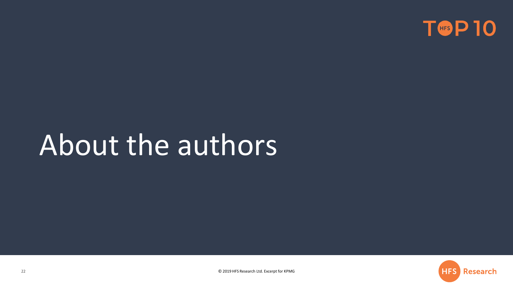

# About the authors

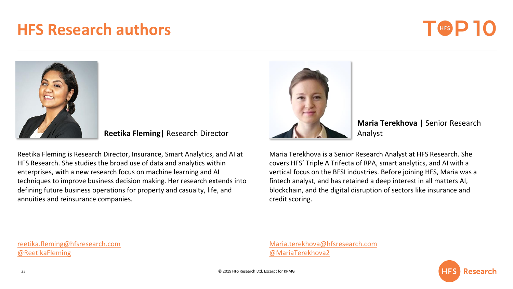### **HFS Research authors**





**Reetika Fleming**| Research Director

Reetika Fleming is Research Director, Insurance, Smart Analytics, and AI at HFS Research. She studies the broad use of data and analytics within enterprises, with a new research focus on machine learning and AI techniques to improve business decision making. Her research extends into defining future business operations for property and casualty, life, and annuities and reinsurance companies.



**Maria Terekhova** | Senior Research Analyst

Maria Terekhova is a Senior Research Analyst at HFS Research. She covers HFS' Triple A Trifecta of RPA, smart analytics, and AI with a vertical focus on the BFSI industries. Before joining HFS, Maria was a fintech analyst, and has retained a deep interest in all matters AI, blockchain, and the digital disruption of sectors like insurance and credit scoring.

reetika.fleming@hfsresearch.com [@ReetikaFleming](https://twitter.com/ReetikaFleming)

[Maria.terekhova@hfsresearch.com](mailto:Maria.terekhova@hfsresearch.com) [@MariaTerekhova2](https://twitter.com/MariaTerekhova2)